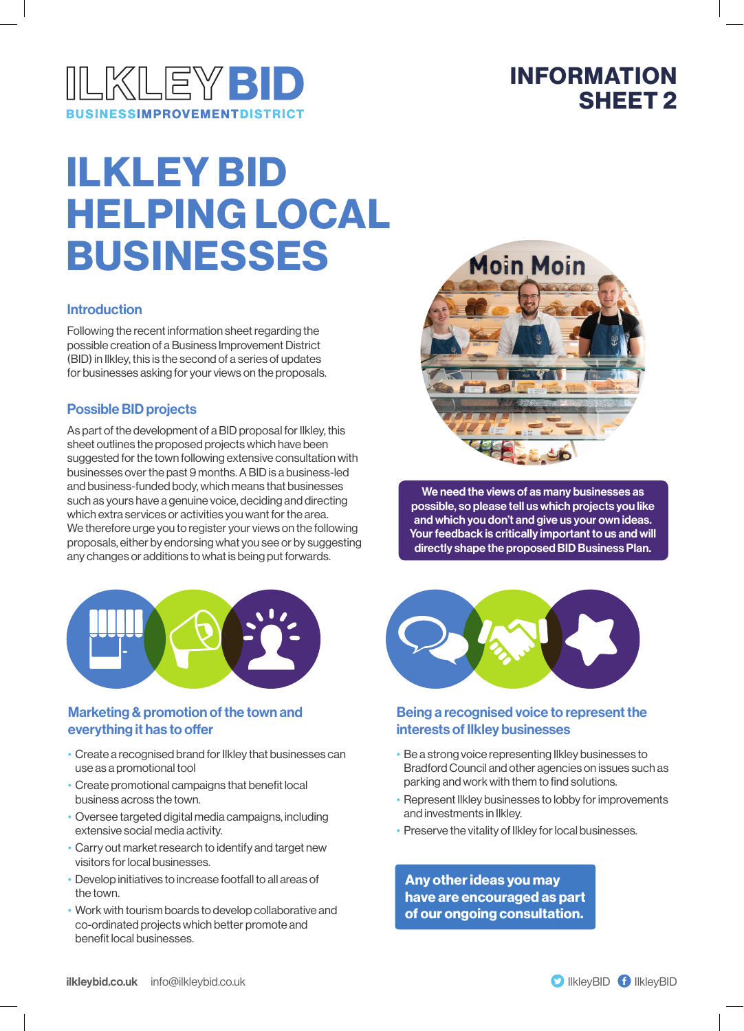

### INFORMATION SHEET 2

# ILKLEY BID HELPING LOCAL BUSINESSES

#### Introduction

Following the recent information sheet regarding the possible creation of a Business Improvement District (BID) in Ilkley, this is the second of a series of updates for businesses asking for your views on the proposals.

#### Possible BID projects

As part of the development of a BID proposal for Ilkley, this sheet outlines the proposed projects which have been suggested for the town following extensive consultation with businesses over the past 9 months. A BID is a business-led and business-funded body, which means that businesses such as yours have a genuine voice, deciding and directing which extra services or activities you want for the area. We therefore urge you to register your views on the following proposals, either by endorsing what you see or by suggesting any changes or additions to what is being put forwards.



#### Marketing & promotion of the town and everything it has to offer

- Create a recognised brand for Ilkley that businesses can use as a promotional tool
- Create promotional campaigns that benefit local business across the town.
- Oversee targeted digital media campaigns, including extensive social media activity.
- Carry out market research to identify and target new visitors for local businesses.
- Develop initiatives to increase footfall to all areas of the town.
- Work with tourism boards to develop collaborative and co-ordinated projects which better promote and benefit local businesses.



We need the views of as many businesses as possible, so please tell us which projects you like and which you don't and give us your own ideas. Your feedback is critically important to us and will directly shape the proposed BID Business Plan.



#### Being a recognised voice to represent the interests of Ilkley businesses

- Be a strong voice representing Ilkley businesses to Bradford Council and other agencies on issues such as parking and work with them to find solutions.
- Represent Ilkley businesses to lobby for improvements and investments in Ilkley.
- Preserve the vitality of Ilkley for local businesses.

Any other ideas you may have are encouraged as part of our ongoing consultation.